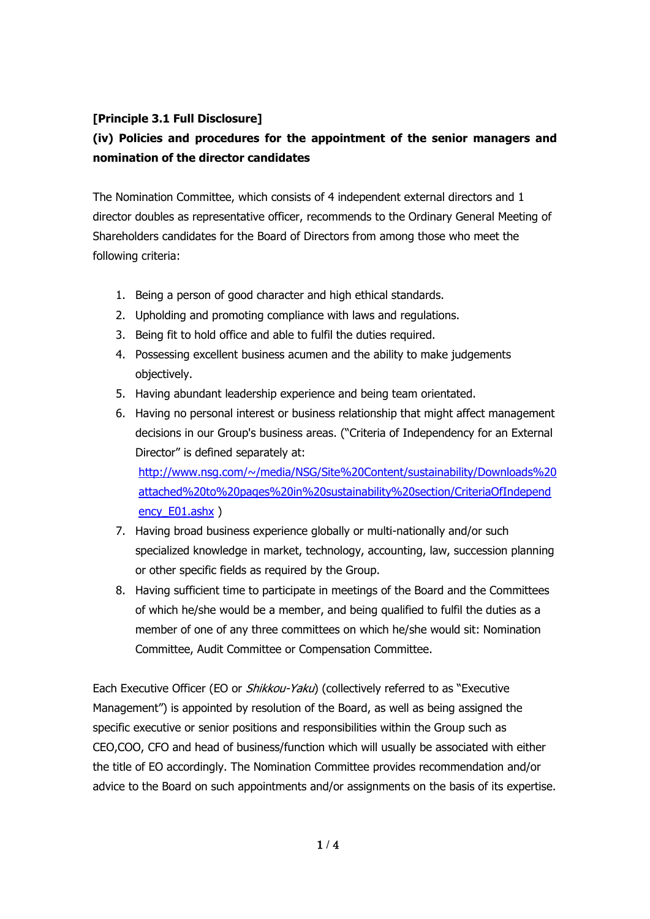# **[Principle 3.1 Full Disclosure]**

# **(iv) Policies and procedures for the appointment of the senior managers and nomination of the director candidates**

The Nomination Committee, which consists of 4 independent external directors and 1 director doubles as representative officer, recommends to the Ordinary General Meeting of Shareholders candidates for the Board of Directors from among those who meet the following criteria:

- 1. Being a person of good character and high ethical standards.
- 2. Upholding and promoting compliance with laws and regulations.
- 3. Being fit to hold office and able to fulfil the duties required.
- 4. Possessing excellent business acumen and the ability to make judgements objectively.
- 5. Having abundant leadership experience and being team orientated.
- 6. Having no personal interest or business relationship that might affect management decisions in our Group's business areas. ("Criteria of Independency for an External Director" is defined separately at: [http://www.nsg.com/~/media/NSG/Site%20Content/sustainability/Downloads%20](http://www.nsg.com/~/media/NSG/Site%20Content/sustainability/Downloads%20attached%20to%20pages%20in%20sustainability%20section/CriteriaOfIndependency_E01.ashx) [attached%20to%20pages%20in%20sustainability%20section/CriteriaOfIndepend](http://www.nsg.com/~/media/NSG/Site%20Content/sustainability/Downloads%20attached%20to%20pages%20in%20sustainability%20section/CriteriaOfIndependency_E01.ashx)

ency E01.ashx )

- 7. Having broad business experience globally or multi-nationally and/or such specialized knowledge in market, technology, accounting, law, succession planning or other specific fields as required by the Group.
- 8. Having sufficient time to participate in meetings of the Board and the Committees of which he/she would be a member, and being qualified to fulfil the duties as a member of one of any three committees on which he/she would sit: Nomination Committee, Audit Committee or Compensation Committee.

Each Executive Officer (EO or *Shikkou-Yaku*) (collectively referred to as "Executive Management") is appointed by resolution of the Board, as well as being assigned the specific executive or senior positions and responsibilities within the Group such as CEO,COO, CFO and head of business/function which will usually be associated with either the title of EO accordingly. The Nomination Committee provides recommendation and/or advice to the Board on such appointments and/or assignments on the basis of its expertise.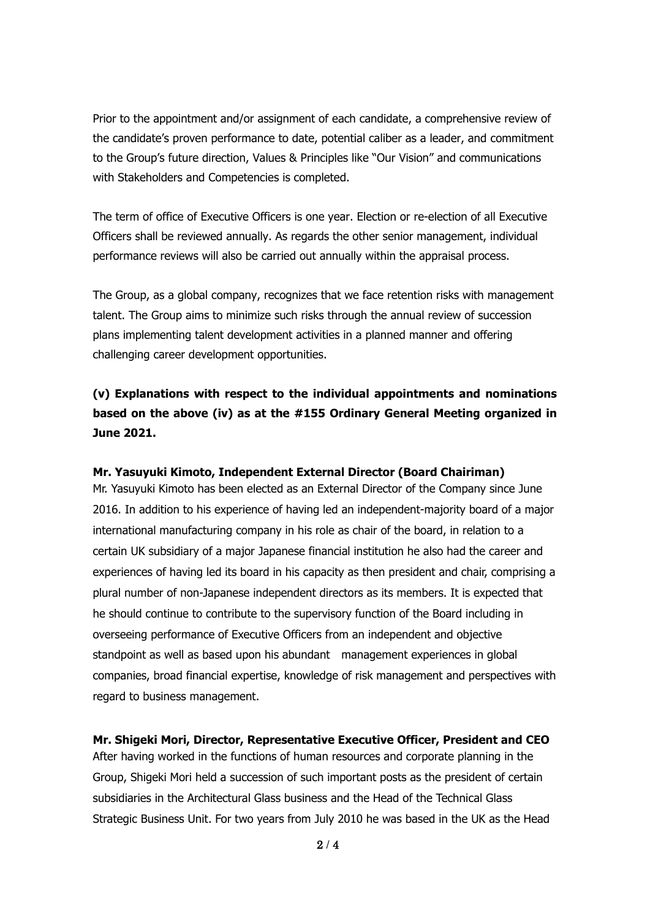Prior to the appointment and/or assignment of each candidate, a comprehensive review of the candidate's proven performance to date, potential caliber as a leader, and commitment to the Group's future direction, Values & Principles like "Our Vision" and communications with Stakeholders and Competencies is completed.

The term of office of Executive Officers is one year. Election or re-election of all Executive Officers shall be reviewed annually. As regards the other senior management, individual performance reviews will also be carried out annually within the appraisal process.

The Group, as a global company, recognizes that we face retention risks with management talent. The Group aims to minimize such risks through the annual review of succession plans implementing talent development activities in a planned manner and offering challenging career development opportunities.

# **(v) Explanations with respect to the individual appointments and nominations based on the above (iv) as at the #155 Ordinary General Meeting organized in June 2021.**

## **Mr. Yasuyuki Kimoto, Independent External Director (Board Chairiman)**

Mr. Yasuyuki Kimoto has been elected as an External Director of the Company since June 2016. In addition to his experience of having led an independent-majority board of a major international manufacturing company in his role as chair of the board, in relation to a certain UK subsidiary of a major Japanese financial institution he also had the career and experiences of having led its board in his capacity as then president and chair, comprising a plural number of non-Japanese independent directors as its members. It is expected that he should continue to contribute to the supervisory function of the Board including in overseeing performance of Executive Officers from an independent and objective standpoint as well as based upon his abundant management experiences in global companies, broad financial expertise, knowledge of risk management and perspectives with regard to business management.

### **Mr. Shigeki Mori, Director, Representative Executive Officer, President and CEO**

After having worked in the functions of human resources and corporate planning in the Group, Shigeki Mori held a succession of such important posts as the president of certain subsidiaries in the Architectural Glass business and the Head of the Technical Glass Strategic Business Unit. For two years from July 2010 he was based in the UK as the Head

 $2/4$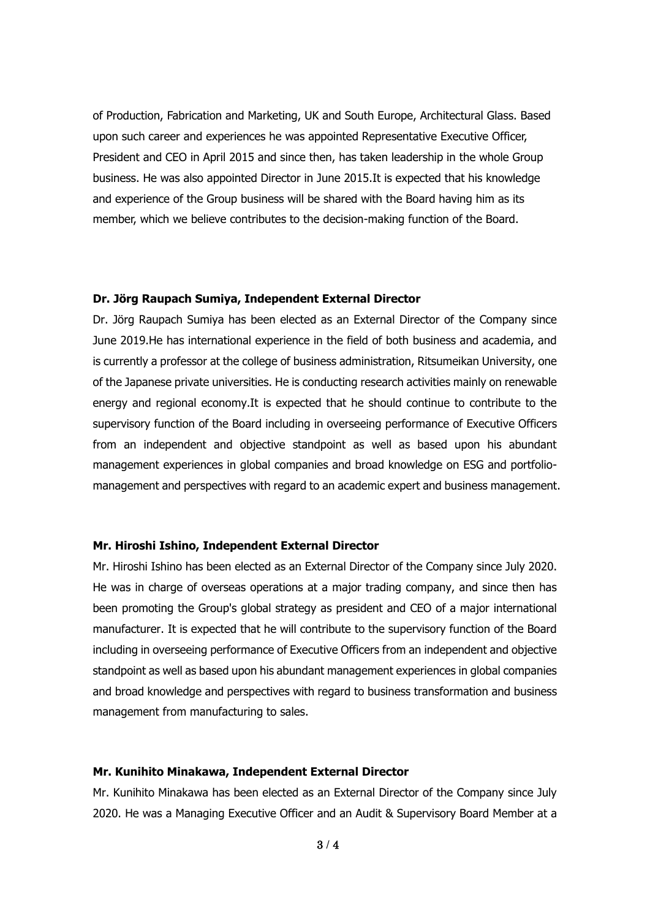of Production, Fabrication and Marketing, UK and South Europe, Architectural Glass. Based upon such career and experiences he was appointed Representative Executive Officer, President and CEO in April 2015 and since then, has taken leadership in the whole Group business. He was also appointed Director in June 2015.It is expected that his knowledge and experience of the Group business will be shared with the Board having him as its member, which we believe contributes to the decision-making function of the Board.

### **Dr. Jörg Raupach Sumiya, Independent External Director**

Dr. Jörg Raupach Sumiya has been elected as an External Director of the Company since June 2019.He has international experience in the field of both business and academia, and is currently a professor at the college of business administration, Ritsumeikan University, one of the Japanese private universities. He is conducting research activities mainly on renewable energy and regional economy.It is expected that he should continue to contribute to the supervisory function of the Board including in overseeing performance of Executive Officers from an independent and objective standpoint as well as based upon his abundant management experiences in global companies and broad knowledge on ESG and portfoliomanagement and perspectives with regard to an academic expert and business management.

#### **Mr. Hiroshi Ishino, Independent External Director**

Mr. Hiroshi Ishino has been elected as an External Director of the Company since July 2020. He was in charge of overseas operations at a major trading company, and since then has been promoting the Group's global strategy as president and CEO of a major international manufacturer. It is expected that he will contribute to the supervisory function of the Board including in overseeing performance of Executive Officers from an independent and objective standpoint as well as based upon his abundant management experiences in global companies and broad knowledge and perspectives with regard to business transformation and business management from manufacturing to sales.

### **Mr. Kunihito Minakawa, Independent External Director**

Mr. Kunihito Minakawa has been elected as an External Director of the Company since July 2020. He was a Managing Executive Officer and an Audit & Supervisory Board Member at a